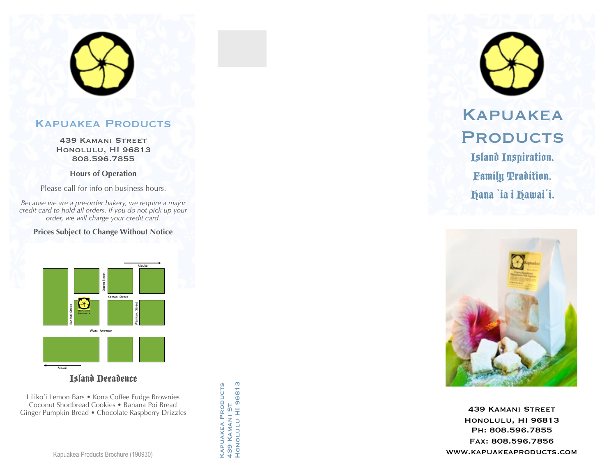# Kapuakea Products

439 Kamani Street Honolulu, HI 96813 808.596.7855

**Hours of Operation**

Please call for info on business hours.

*Because we are a pre-order bakery, we require a major credit card to hold all orders. If you do not pick up your order, we will charge your credit card.*

**Prices Subject to Change Without Notice**



Island Decadence

Liliko'i Lemon Bars • Kona Coffee Fudge Brownies Coconut Shortbread Cookies • Banana Poi Bread Ginger Pumpkin Bread • Chocolate Raspberry Drizzles KAPUAKEA PRODUCTS<br>439 KAMANI ST<br>HONOLULU HI 96813 Honolulu HI 96813 Kapuakea Products 439 Kamani St



Family Tradition. Hana `ia i Hawai`i.



439 Kamani Street Honolulu, HI 96813 Ph: 808.596.7855 Fax: 808.596.7856 www.kapuakeaproducts.com